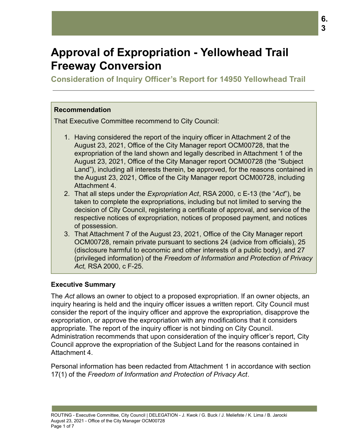# **Approval of Expropriation - Yellowhead Trail Freeway Conversion**

**Consideration of Inquiry Officer's Report for 14950 Yellowhead Trail**

# **Recommendation**

That Executive Committee recommend to City Council:

- 1. Having considered the report of the inquiry officer in Attachment 2 of the August 23, 2021, Office of the City Manager report OCM00728, that the expropriation of the land shown and legally described in Attachment 1 of the August 23, 2021, Office of the City Manager report OCM00728 (the "Subject Land"), including all interests therein, be approved, for the reasons contained in the August 23, 2021, Office of the City Manager report OCM00728, including Attachment 4.
- 2. That all steps under the *Expropriation Act*, RSA 2000, c E-13 (the "*Act*"), be taken to complete the expropriations, including but not limited to serving the decision of City Council, registering a certificate of approval, and service of the respective notices of expropriation, notices of proposed payment, and notices of possession.
- 3. That Attachment 7 of the August 23, 2021, Office of the City Manager report OCM00728, remain private pursuant to sections 24 (advice from officials), 25 (disclosure harmful to economic and other interests of a public body), and 27 (privileged information) of the *Freedom of Information and Protection of Privacy Act,* RSA 2000, c F-25.

# **Executive Summary**

The *Act* allows an owner to object to a proposed expropriation. If an owner objects, an inquiry hearing is held and the inquiry officer issues a written report. City Council must consider the report of the inquiry officer and approve the expropriation, disapprove the expropriation, or approve the expropriation with any modifications that it considers appropriate. The report of the inquiry officer is not binding on City Council. Administration recommends that upon consideration of the inquiry officer's report, City Council approve the expropriation of the Subject Land for the reasons contained in Attachment 4.

Personal information has been redacted from Attachment 1 in accordance with section 17(1) of the *Freedom of Information and Protection of Privacy Act*.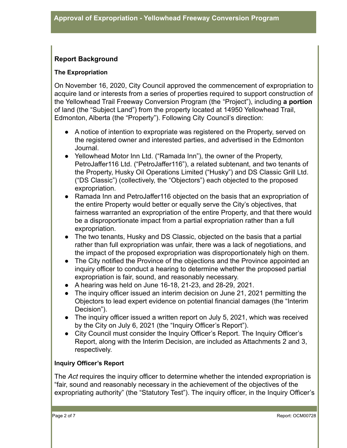# **Report Background**

#### **The Expropriation**

On November 16, 2020, City Council approved the commencement of expropriation to acquire land or interests from a series of properties required to support construction of the Yellowhead Trail Freeway Conversion Program (the "Project"), including **a portion** of land (the "Subject Land") from the property located at 14950 Yellowhead Trail, Edmonton, Alberta (the "Property"). Following City Council's direction:

- A notice of intention to expropriate was registered on the Property, served on the registered owner and interested parties, and advertised in the Edmonton Journal.
- Yellowhead Motor Inn Ltd. ("Ramada Inn"), the owner of the Property, PetroJaffer116 Ltd. ("PetroJaffer116"), a related subtenant, and two tenants of the Property, Husky Oil Operations Limited ("Husky") and DS Classic Grill Ltd. ("DS Classic") (collectively, the "Objectors") each objected to the proposed expropriation.
- Ramada Inn and PetroJaffer116 objected on the basis that an expropriation of the entire Property would better or equally serve the City's objectives, that fairness warranted an expropriation of the entire Property, and that there would be a disproportionate impact from a partial expropriation rather than a full expropriation.
- The two tenants, Husky and DS Classic, objected on the basis that a partial rather than full expropriation was unfair, there was a lack of negotiations, and the impact of the proposed expropriation was disproportionately high on them.
- The City notified the Province of the objections and the Province appointed an inquiry officer to conduct a hearing to determine whether the proposed partial expropriation is fair, sound, and reasonably necessary.
- $\bullet$  A hearing was held on June 16-18, 21-23, and 28-29, 2021.
- The inquiry officer issued an interim decision on June 21, 2021 permitting the Objectors to lead expert evidence on potential financial damages (the "Interim Decision").
- The inquiry officer issued a written report on July 5, 2021, which was received by the City on July 6, 2021 (the "Inquiry Officer's Report").
- City Council must consider the Inquiry Officer's Report. The Inquiry Officer's Report, along with the Interim Decision, are included as Attachments 2 and 3, respectively.

### **Inquiry Officer's Report**

The *Act* requires the inquiry officer to determine whether the intended expropriation is "fair, sound and reasonably necessary in the achievement of the objectives of the expropriating authority" (the "Statutory Test"). The inquiry officer, in the Inquiry Officer's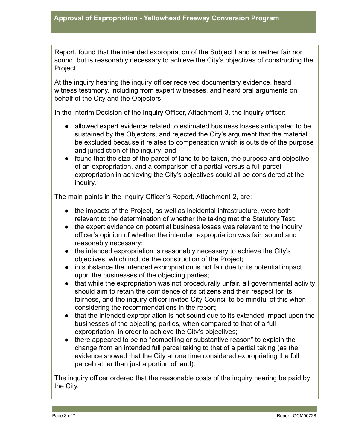Report, found that the intended expropriation of the Subject Land is neither fair nor sound, but is reasonably necessary to achieve the City's objectives of constructing the Project.

At the inquiry hearing the inquiry officer received documentary evidence, heard witness testimony, including from expert witnesses, and heard oral arguments on behalf of the City and the Objectors.

In the Interim Decision of the Inquiry Officer, Attachment 3, the inquiry officer:

- allowed expert evidence related to estimated business losses anticipated to be sustained by the Objectors, and rejected the City's argument that the material be excluded because it relates to compensation which is outside of the purpose and jurisdiction of the inquiry; and
- found that the size of the parcel of land to be taken, the purpose and objective of an expropriation, and a comparison of a partial versus a full parcel expropriation in achieving the City's objectives could all be considered at the inquiry.

The main points in the Inquiry Officer's Report, Attachment 2, are:

- the impacts of the Project, as well as incidental infrastructure, were both relevant to the determination of whether the taking met the Statutory Test;
- the expert evidence on potential business losses was relevant to the inquiry officer's opinion of whether the intended expropriation was fair, sound and reasonably necessary;
- the intended expropriation is reasonably necessary to achieve the City's objectives, which include the construction of the Project;
- in substance the intended expropriation is not fair due to its potential impact upon the businesses of the objecting parties;
- that while the expropriation was not procedurally unfair, all governmental activity should aim to retain the confidence of its citizens and their respect for its fairness, and the inquiry officer invited City Council to be mindful of this when considering the recommendations in the report;
- that the intended expropriation is not sound due to its extended impact upon the businesses of the objecting parties, when compared to that of a full expropriation, in order to achieve the City's objectives;
- there appeared to be no "compelling or substantive reason" to explain the change from an intended full parcel taking to that of a partial taking (as the evidence showed that the City at one time considered expropriating the full parcel rather than just a portion of land).

The inquiry officer ordered that the reasonable costs of the inquiry hearing be paid by the City.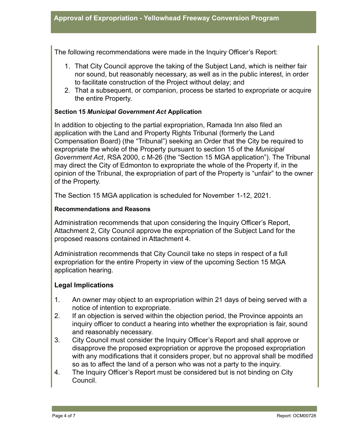The following recommendations were made in the Inquiry Officer's Report:

- 1. That City Council approve the taking of the Subject Land, which is neither fair nor sound, but reasonably necessary, as well as in the public interest, in order to facilitate construction of the Project without delay; and
- 2. That a subsequent, or companion, process be started to expropriate or acquire the entire Property.

#### **Section 15** *Municipal Government Act* **Application**

In addition to objecting to the partial expropriation, Ramada Inn also filed an application with the Land and Property Rights Tribunal (formerly the Land Compensation Board) (the "Tribunal") seeking an Order that the City be required to expropriate the whole of the Property pursuant to section 15 of the *Municipal Government Act*, RSA 2000, c M-26 (the "Section 15 MGA application"). The Tribunal may direct the City of Edmonton to expropriate the whole of the Property if, in the opinion of the Tribunal, the expropriation of part of the Property is "unfair" to the owner of the Property.

The Section 15 MGA application is scheduled for November 1-12, 2021.

#### **Recommendations and Reasons**

Administration recommends that upon considering the Inquiry Officer's Report, Attachment 2, City Council approve the expropriation of the Subject Land for the proposed reasons contained in Attachment 4.

Administration recommends that City Council take no steps in respect of a full expropriation for the entire Property in view of the upcoming Section 15 MGA application hearing.

#### **Legal Implications**

- 1. An owner may object to an expropriation within 21 days of being served with a notice of intention to expropriate.
- 2. If an objection is served within the objection period, the Province appoints an inquiry officer to conduct a hearing into whether the expropriation is fair, sound and reasonably necessary.
- 3. City Council must consider the Inquiry Officer's Report and shall approve or disapprove the proposed expropriation or approve the proposed expropriation with any modifications that it considers proper, but no approval shall be modified so as to affect the land of a person who was not a party to the inquiry.
- 4. The Inquiry Officer's Report must be considered but is not binding on City Council.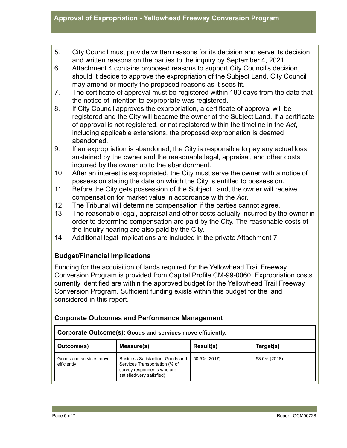- 5. City Council must provide written reasons for its decision and serve its decision and written reasons on the parties to the inquiry by September 4, 2021.
- 6. Attachment 4 contains proposed reasons to support City Council's decision, should it decide to approve the expropriation of the Subject Land. City Council may amend or modify the proposed reasons as it sees fit.
- 7. The certificate of approval must be registered within 180 days from the date that the notice of intention to expropriate was registered.
- 8. If City Council approves the expropriation, a certificate of approval will be registered and the City will become the owner of the Subject Land. If a certificate of approval is not registered, or not registered within the timeline in the *Act*, including applicable extensions, the proposed expropriation is deemed abandoned.
- 9. If an expropriation is abandoned, the City is responsible to pay any actual loss sustained by the owner and the reasonable legal, appraisal, and other costs incurred by the owner up to the abandonment.
- 10. After an interest is expropriated, the City must serve the owner with a notice of possession stating the date on which the City is entitled to possession.
- 11. Before the City gets possession of the Subject Land, the owner will receive compensation for market value in accordance with the *Act*.
- 12. The Tribunal will determine compensation if the parties cannot agree.
- 13. The reasonable legal, appraisal and other costs actually incurred by the owner in order to determine compensation are paid by the City. The reasonable costs of the inquiry hearing are also paid by the City.
- 14. Additional legal implications are included in the private Attachment 7.

# **Budget/Financial Implications**

Funding for the acquisition of lands required for the Yellowhead Trail Freeway Conversion Program is provided from Capital Profile CM-99-0060. Expropriation costs currently identified are within the approved budget for the Yellowhead Trail Freeway Conversion Program. Sufficient funding exists within this budget for the land considered in this report.

| Corporate Outcome(s): Goods and services move efficiently. |                                                                                                                                     |              |              |  |  |
|------------------------------------------------------------|-------------------------------------------------------------------------------------------------------------------------------------|--------------|--------------|--|--|
| Outcome(s)                                                 | Measure(s)                                                                                                                          | Result(s)    | Target(s)    |  |  |
| Goods and services move<br>efficiently                     | <b>Business Satisfaction: Goods and</b><br>Services Transportation (% of<br>survey respondents who are<br>satisfied/very satisfied) | 50.5% (2017) | 53.0% (2018) |  |  |

# **Corporate Outcomes and Performance Management**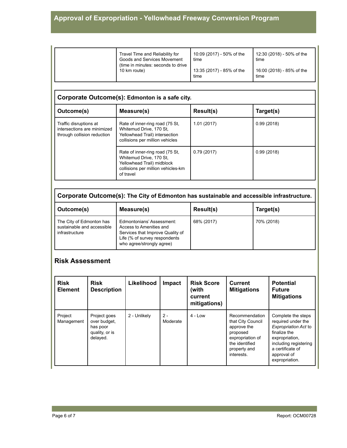| Travel Time and Reliability for<br>Goods and Services Movement<br>(time in minutes: seconds to drive) | 10:09 (2017) - 50% of the<br>time | 12:30 (2018) - 50% of the<br>time |
|-------------------------------------------------------------------------------------------------------|-----------------------------------|-----------------------------------|
| 10 km route)                                                                                          | 13:35 (2017) - 85% of the<br>time | 16:00 (2018) - 85% of the<br>time |

# **Corporate Outcome(s): Edmonton is a safe city.**

| Measure(s)<br>Outcome(s)                                                             |                                                                                                                                             | <b>Result(s)</b> | Target(s)  |  |  |  |
|--------------------------------------------------------------------------------------|---------------------------------------------------------------------------------------------------------------------------------------------|------------------|------------|--|--|--|
| Traffic disruptions at<br>intersections are minimized<br>through collision reduction | Rate of inner-ring road (75 St,<br>Whitemud Drive, 170 St.<br>Yellowhead Trail) intersection<br>collisions per million vehicles             | 1.01(2017)       | 0.99(2018) |  |  |  |
|                                                                                      | Rate of inner-ring road (75 St,<br>Whitemud Drive, 170 St.<br>Yellowhead Trail) midblock<br>collisions per million vehicles-km<br>of travel | 0.79(2017)       | 0.99(2018) |  |  |  |

**Corporate Outcome(s): The City of Edmonton has sustainable and accessible infrastructure.**

| Outcome(s)                                                               | Measure(s)                                                                                                                                             | Result(s)  | Target(s)  |
|--------------------------------------------------------------------------|--------------------------------------------------------------------------------------------------------------------------------------------------------|------------|------------|
| The City of Edmonton has<br>sustainable and accessible<br>infrastructure | Edmontonians' Assessment:<br>Access to Amenities and<br>Services that Improve Quality of<br>Life (% of survey respondents<br>who agree/strongly agree) | 68% (2017) | 70% (2018) |

#### **Risk Assessment**

| <b>Risk</b><br><b>Element</b> | <b>Risk</b><br><b>Description</b>                                      | Likelihood   | <b>Impact</b>     | <b>Risk Score</b><br>(with<br>current<br>mitigations) | <b>Current</b><br><b>Mitigations</b>                                                                                               | <b>Potential</b><br><b>Future</b><br><b>Mitigations</b>                                                                                                                          |
|-------------------------------|------------------------------------------------------------------------|--------------|-------------------|-------------------------------------------------------|------------------------------------------------------------------------------------------------------------------------------------|----------------------------------------------------------------------------------------------------------------------------------------------------------------------------------|
| Project<br>Management         | Project goes<br>over budget,<br>has poor<br>quality, or is<br>delayed. | 2 - Unlikely | $2 -$<br>Moderate | $4 - Low$                                             | Recommendation<br>that City Council<br>approve the<br>proposed<br>expropriation of<br>the identified<br>property and<br>interests. | Complete the steps<br>required under the<br>Expropriation Act to<br>finalize the<br>expropriation,<br>including registering<br>a certificate of<br>approval of<br>expropriation. |